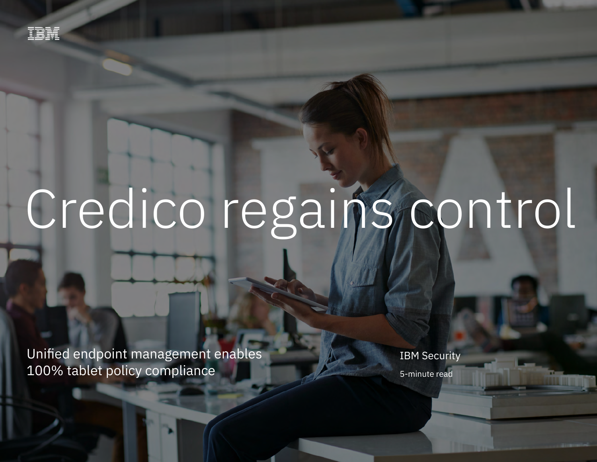# Credico regains control

Unified endpoint management enables 100% tablet policy compliance 1

Unified endpoint management enables 100% tablet policy compliance

**IBM Security** 5-minute read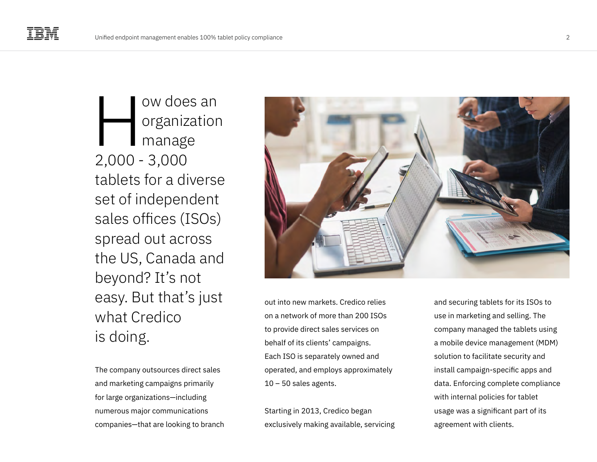ow does an organization manage 2,000 - 3,000 tablets for a diverse set of independent sales offices (ISOs) spread out across the US, Canada and beyond? It's not easy. But that's just what Credico is doing.  $\frac{1}{2}$ 

The company outsources direct sales and marketing campaigns primarily for large organizations—including numerous major communications companies—that are looking to branch



out into new markets. Credico relies on a network of more than 200 ISOs to provide direct sales services on behalf of its clients' campaigns. Each ISO is separately owned and operated, and employs approximately  $10 - 50$  sales agents.

Starting in 2013, Credico began exclusively making available, servicing and securing tablets for its ISOs to use in marketing and selling. The company managed the tablets using a mobile device management (MDM) solution to facilitate security and install campaign-specific apps and data. Enforcing complete compliance with internal policies for tablet usage was a significant part of its agreement with clients.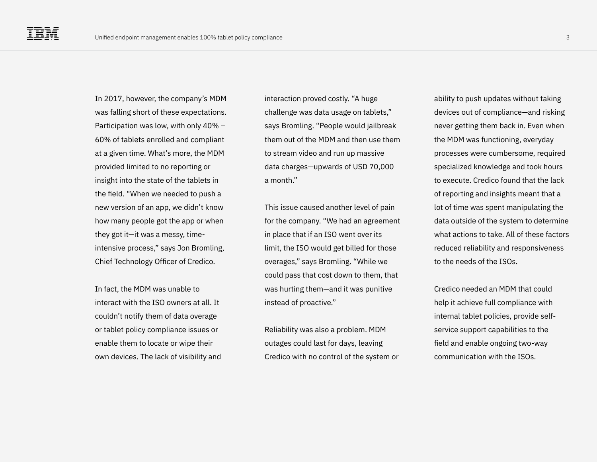In 2017, however, the company's MDM was falling short of these expectations. Participation was low, with only 40% – 60% of tablets enrolled and compliant at a given time. What's more, the MDM provided limited to no reporting or insight into the state of the tablets in the field. "When we needed to push a new version of an app, we didn't know how many people got the app or when they got it—it was a messy, timeintensive process," says Jon Bromling, Chief Technology Officer of Credico.

In fact, the MDM was unable to interact with the ISO owners at all. It couldn't notify them of data overage or tablet policy compliance issues or enable them to locate or wipe their own devices. The lack of visibility and

interaction proved costly. "A huge challenge was data usage on tablets," says Bromling. "People would jailbreak them out of the MDM and then use them to stream video and run up massive data charges—upwards of USD 70,000 a month."

This issue caused another level of pain for the company. "We had an agreement in place that if an ISO went over its limit, the ISO would get billed for those overages," says Bromling. "While we could pass that cost down to them, that was hurting them—and it was punitive instead of proactive."

Reliability was also a problem. MDM outages could last for days, leaving Credico with no control of the system or

ability to push updates without taking devices out of compliance—and risking never getting them back in. Even when the MDM was functioning, everyday processes were cumbersome, required specialized knowledge and took hours to execute. Credico found that the lack of reporting and insights meant that a lot of time was spent manipulating the data outside of the system to determine what actions to take. All of these factors reduced reliability and responsiveness to the needs of the ISOs.

Credico needed an MDM that could help it achieve full compliance with internal tablet policies, provide selfservice support capabilities to the field and enable ongoing two-way communication with the ISOs.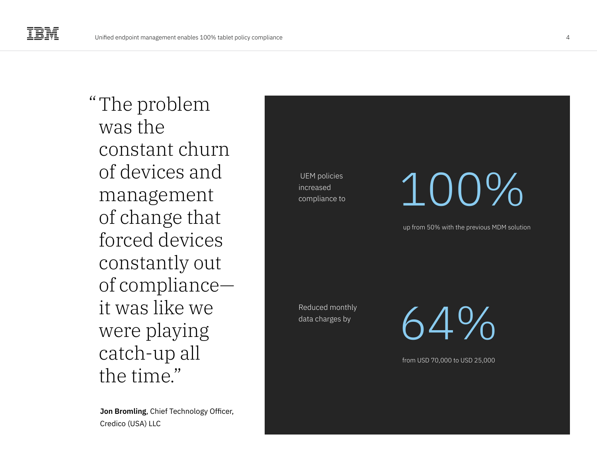"The problem was the constant churn of devices and management of change that forced devices constantly out of compliance it was like we were playing catch-up all the time."

**Jon Bromling**, Chief Technology Officer, Credico (USA) LLC

 UEM policies increased compliance to

### 100%

up from 50% with the previous MDM solution

Reduced monthly data charges by

 $4\%$ 

from USD 70,000 to USD 25,000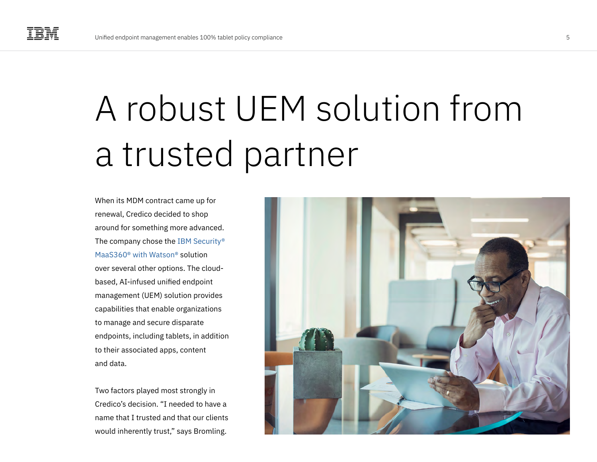### A robust UEM solution from a trusted partner

When its MDM contract came up for renewal, Credico decided to shop around for something more advanced. The company chose the [IBM Security®](https://www.ibm.com/products/unified-endpoint-management)  [MaaS360® with Watson®](https://www.ibm.com/products/unified-endpoint-management) solution over several other options. The cloudbased, AI-infused unified endpoint management (UEM) solution provides capabilities that enable organizations to manage and secure disparate endpoints, including tablets, in addition to their associated apps, content and data.

Two factors played most strongly in Credico's decision. "I needed to have a name that I trusted and that our clients would inherently trust," says Bromling.

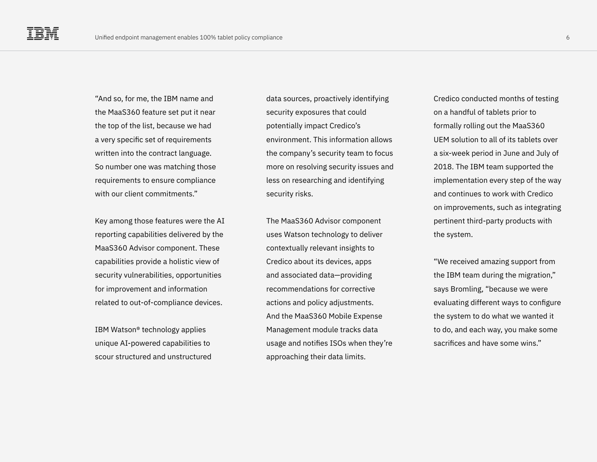"And so, for me, the IBM name and the MaaS360 feature set put it near the top of the list, because we had a very specific set of requirements written into the contract language. So number one was matching those requirements to ensure compliance with our client commitments."

Key among those features were the AI reporting capabilities delivered by the MaaS360 Advisor component. These capabilities provide a holistic view of security vulnerabilities, opportunities for improvement and information related to out-of-compliance devices.

IBM Watson® technology applies unique AI-powered capabilities to scour structured and unstructured data sources, proactively identifying security exposures that could potentially impact Credico's environment. This information allows the company's security team to focus more on resolving security issues and less on researching and identifying security risks.

The MaaS360 Advisor component uses Watson technology to deliver contextually relevant insights to Credico about its devices, apps and associated data—providing recommendations for corrective actions and policy adjustments. And the MaaS360 Mobile Expense Management module tracks data usage and notifies ISOs when they're approaching their data limits.

Credico conducted months of testing on a handful of tablets prior to formally rolling out the MaaS360 UEM solution to all of its tablets over a six-week period in June and July of 2018. The IBM team supported the implementation every step of the way and continues to work with Credico on improvements, such as integrating pertinent third-party products with the system.

"We received amazing support from the IBM team during the migration," says Bromling, "because we were evaluating different ways to configure the system to do what we wanted it to do, and each way, you make some sacrifices and have some wins."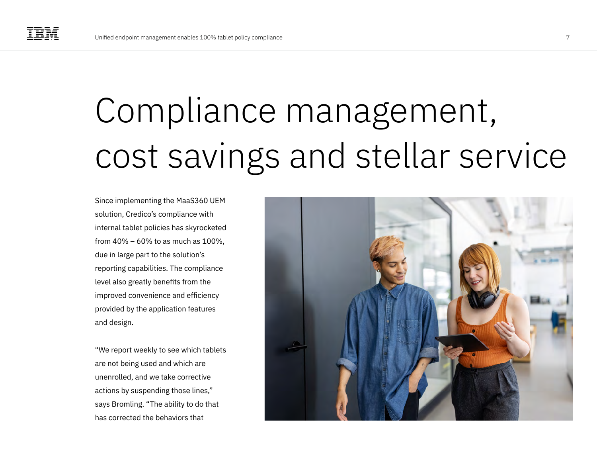## Compliance management, cost savings and stellar service

Since implementing the MaaS360 UEM solution, Credico's compliance with internal tablet policies has skyrocketed from 40% – 60% to as much as 100%, due in large part to the solution's reporting capabilities. The compliance level also greatly benefits from the improved convenience and efficiency provided by the application features and design.

"We report weekly to see which tablets are not being used and which are unenrolled, and we take corrective actions by suspending those lines," says Bromling. "The ability to do that has corrected the behaviors that

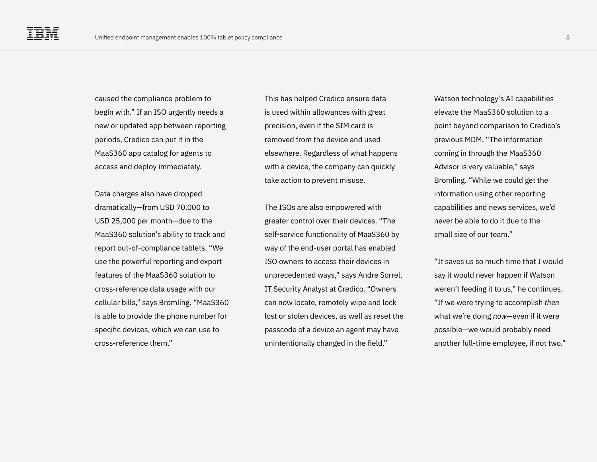caused the compliance problem to begin with." If an ISO urgently needs a new or updated app between reporting periods, Credico can put it in the MaaS360 app catalog for agents to access and deploy immediately.

Data charges also have dropped dramatically—from USD 70,000 to USD 25,000 per month—due to the MaaS360 solution's ability to track and report out-of-compliance tablets. "We use the powerful reporting and export features of the MaaS360 solution to cross-reference data usage with our cellular bills," says Bromling. "MaaS360 is able to provide the phone number for specific devices, which we can use to cross-reference them."

This has helped Credico ensure data is used within allowances with great precision, even if the SIM card is removed from the device and used elsewhere. Regardless of what happens with a device, the company can quickly take action to prevent misuse.

The ISOs are also empowered with greater control over their devices. "The self-service functionality of MaaS360 by way of the end-user portal has enabled ISO owners to access their devices in unprecedented ways," says Andre Sorrel, IT Security Analyst at Credico. "Owners can now locate, remotely wipe and lock lost or stolen devices, as well as reset the passcode of a device an agent may have unintentionally changed in the field."

Watson technology's AI capabilities elevate the MaaS360 solution to a point beyond comparison to Credico's previous MDM. "The information coming in through the MaaS360 Advisor is very valuable," says Bromling. "While we could get the information using other reporting capabilities and news services, we'd never be able to do it due to the small size of our team."

"It saves us so much time that I would say it would never happen if Watson weren't feeding it to us," he continues. "If we were trying to accomplish *then*  what we're doing *now*—even if it were possible—we would probably need another full-time employee, if not two."